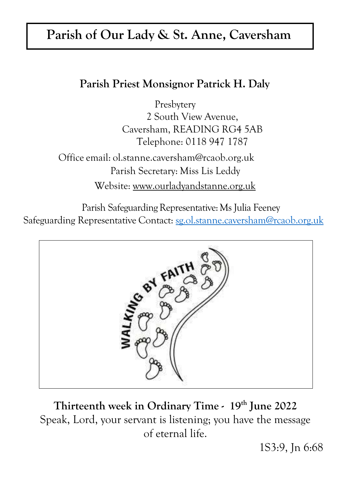## **Parish of Our Lady & St. Anne, Caversham**

## **Parish Priest Monsignor Patrick H. Daly**

Presbytery 2 South View Avenue, Caversham, READING RG4 5AB Telephone: 0118 947 1787

Office email: [ol.stanne.caversham@rcaob.org.uk](mailto:ol.stanne.caversham@rcaob.org.uk) Parish Secretary: Miss Lis Leddy Website: [www.ourladyandstanne.org.uk](http://www.ourladyandstanne.org.uk/)

Parish Safeguarding Representative: Ms Julia Feeney Safeguarding Representative Contact: [sg.ol.stanne.caversham@rcaob.org.uk](mailto:sg.ol.stanne.caversham@rcaob.org.uk)



**Thirteenth week in Ordinary Time - 19 th June 2022** Speak, Lord, your servant is listening; you have the message of eternal life.

1S3:9, Jn 6:68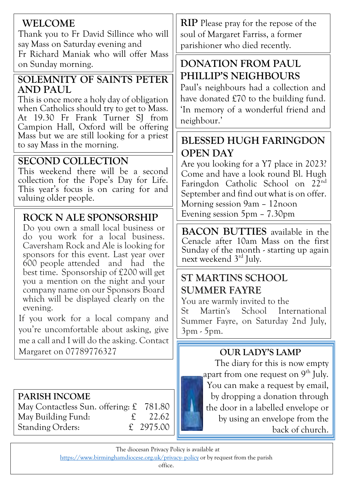#### **WELCOME**

Thank you to Fr David Sillince who will say Mass on Saturday evening and

Fr Richard Maniak who will offer Mass on Sunday morning.

#### **SOLEMNITY OF SAINTS PETER AND PAUL**

This is once more a holy day of obligation when Catholics should try to get to Mass. At 19.30 Fr Frank Turner SI from Campion Hall, Oxford will be offering Mass but we are still looking for a priest to say Mass in the morning.

## **SECOND COLLECTION**

This weekend there will be a second collection for the Pope's Day for Life. This year's focus is on caring for and valuing older people.

#### **ROCK N ALE SPONSORSHIP**

Do you own a small local business or do you work for a local business. Caversham Rock and Ale is looking for sponsors for this event. Last year over 600 people attended and had the best time. Sponsorship of £200 will get you a mention on the night and your company name on our Sponsors Board which will be displayed clearly on the evening.

If you work for a local company and you're uncomfortable about asking, give me a call and I will do the asking. Contact Margaret on 07789776327

#### **PARISH INCOME**

May Contactless Sun. offering: £ 781.80 May Building Fund: £ 22.62 Standing Orders:  $\qquad \qquad \text{£} \quad 2975.00$ 

**RIP** Please pray for the repose of the soul of Margaret Farriss, a former parishioner who died recently.

## **DONATION FROM PAUL PHILLIP'S NEIGHBOURS**

Paul's neighbours had a collection and have donated £70 to the building fund. 'In memory of a wonderful friend and neighbour.'

## **BLESSED HUGH FARINGDON OPEN DAY**

Are you looking for a Y7 place in 2023? Come and have a look round Bl. Hugh Faringdon Catholic School on 22nd September and find out what is on offer. Morning session 9am – 12noon Evening session 5pm – 7.30pm

**BACON BUTTIES** available in the Cenacle after 10am Mass on the first Sunday of the month - starting up again next weekend 3 rd July.

## **ST MARTINS SCHOOL SUMMER FAYRE**

You are warmly invited to the

St Martin's School International Summer Fayre, on Saturday 2nd July, 3pm - 5pm.

#### **OUR LADY'S LAMP**

The diary for this is now empty apart from one request on  $9^{th}$  July. You can make a request by email, by dropping a donation through the door in a labelled envelope or by using an envelope from the back of church.

The diocesan Privacy Policy is available at http[s://www.birminghamdiocese.org.uk/privacy-](http://www.birminghamdiocese.org.uk/privacy-policy) [policy](http://www.birminghamdiocese.org.uk/privacy-policy) or by request from the parish

office. Our Lady & St Anne Parish is part of the Archdiocese of Birmingham, Charity No.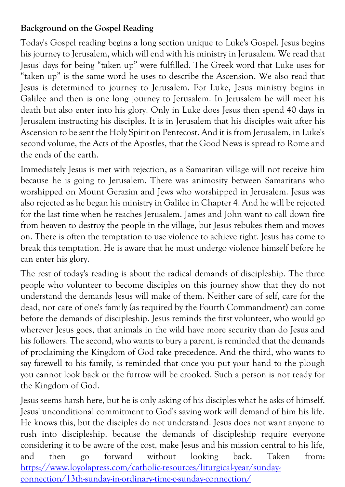#### **Background on the Gospel Reading**

Today's Gospel reading begins a long section unique to Luke's Gospel. Jesus begins his journey to Jerusalem, which will end with his ministry in Jerusalem. We read that Jesus' days for being "taken up" were fulfilled. The Greek word that Luke uses for "taken up" is the same word he uses to describe the Ascension. We also read that Jesus is determined to journey to Jerusalem. For Luke, Jesus ministry begins in Galilee and then is one long journey to Jerusalem. In Jerusalem he will meet his death but also enter into his glory. Only in Luke does Jesus then spend 40 days in Jerusalem instructing his disciples. It is in Jerusalem that his disciples wait after his Ascension to be sent the Holy Spirit on Pentecost. And it is from Jerusalem, in Luke's second volume, the Acts of the Apostles, that the Good News is spread to Rome and the ends of the earth.

Immediately Jesus is met with rejection, as a Samaritan village will not receive him because he is going to Jerusalem. There was animosity between Samaritans who worshipped on Mount Gerazim and Jews who worshipped in Jerusalem. Jesus was also rejected as he began his ministry in Galilee in Chapter 4. And he will be rejected for the last time when he reaches Jerusalem. James and John want to call down fire from heaven to destroy the people in the village, but Jesus rebukes them and moves on. There is often the temptation to use violence to achieve right. Jesus has come to break this temptation. He is aware that he must undergo violence himself before he can enter his glory.

The rest of today's reading is about the radical demands of discipleship. The three people who volunteer to become disciples on this journey show that they do not understand the demands Jesus will make of them. Neither care of self, care for the dead, nor care of one's family (as required by the Fourth Commandment) can come before the demands of discipleship. Jesus reminds the first volunteer, who would go wherever Jesus goes, that animals in the wild have more security than do Jesus and his followers. The second, who wants to bury a parent, is reminded that the demands of proclaiming the Kingdom of God take precedence. And the third, who wants to say farewell to his family, is reminded that once you put your hand to the plough you cannot look back or the furrow will be crooked. Such a person is not ready for the Kingdom of God.

Jesus seems harsh here, but he is only asking of his disciples what he asks of himself. Jesus' unconditional commitment to God's saving work will demand of him his life. He knows this, but the disciples do not understand. Jesus does not want anyone to rush into discipleship, because the demands of discipleship require everyone considering it to be aware of the cost, make Jesus and his mission central to his life, and then go forward without looking back. Taken from: [https://www.loyolapress.com/catholic-resources/liturgical-year/sunday](https://www.loyolapress.com/catholic-resources/liturgical-year/sunday-connection/13th-sunday-in-ordinary-time-c-sunday-connection/)[connection/13th-sunday-in-ordinary-time-c-sunday-connection/](https://www.loyolapress.com/catholic-resources/liturgical-year/sunday-connection/13th-sunday-in-ordinary-time-c-sunday-connection/)